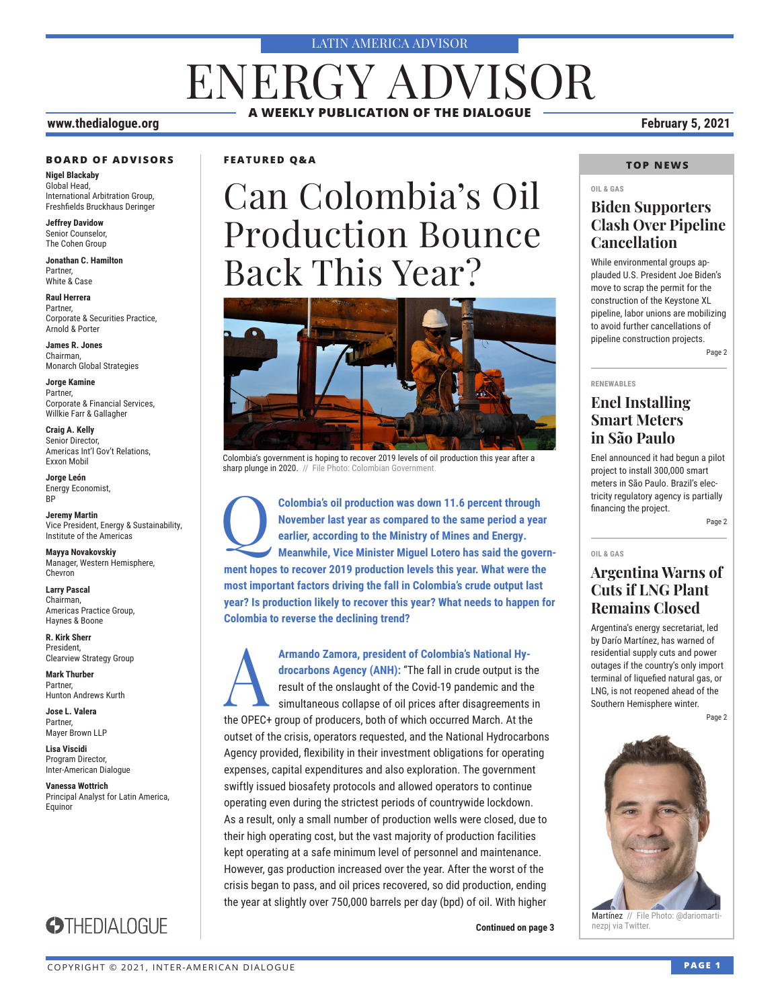#### LATIN AMERICA ADVISOR

# ENERGY ADVISOR **A WEEKLY PUBLICATION OF THE DIALOGUE**

#### **www.thedialogue.org February 5, 2021**

#### **BOARD OF ADVISORS**

**Nigel Blackaby** Global Head, International Arbitration Group, Freshfields Bruckhaus Deringer

**Jeffrey Davidow** Senior Counselor, The Cohen Group

**Jonathan C. Hamilton** Partner, White & Case

**Raul Herrera** Partner, Corporate & Securities Practice, Arnold & Porter

**James R. Jones** Chairman, Monarch Global Strategies

**Jorge Kamine** Partner, Corporate & Financial Services, Willkie Farr & Gallagher

**Craig A. Kelly** Senior Director, Americas Int'l Gov't Relations, Exxon Mobil

**Jorge León** Energy Economist, BP

**Jeremy Martin** Vice President, Energy & Sustainability, Institute of the Americas

**Mayya Novakovskiy** Manager, Western Hemisphere, Chevron

**Larry Pascal** Chairman, Americas Practice Group, Haynes & Boone

**R. Kirk Sherr** President, Clearview Strategy Group

**Mark Thurber** Partner, Hunton Andrews Kurth

**Jose L. Valera** Partner, Mayer Brown LLP

**Lisa Viscidi** Program Director, Inter-American Dialogue

**Vanessa Wottrich** Principal Analyst for Latin America, Equinor



**FEATURED Q&A**

# Can Colombia's Oil Production Bounce Back This Year?



Colombia's government is hoping to recover 2019 levels of oil production this year after a sharp plunge in 2020. // File Photo: Colombian Government

**Colombia's oil production was down 11.6 percent through <br>
November last year as compared to the same period a year<br>
earlier, according to the Ministry of Mines and Energy.<br>
Meanwhile, Vice Minister Miguel Lotero has said November last year as compared to the same period a year earlier, according to the Ministry of Mines and Energy. ment hopes to recover 2019 production levels this year. What were the most important factors driving the fall in Colombia's crude output last year? Is production likely to recover this year? What needs to happen for Colombia to reverse the declining trend?**

**Armando Zamora, president of Colombia's National Hy-<br>
<b>Armando Zamora, president of Colombia's National Hy-**<br> **Armando Agency (ANH):** "The fall in crude output is the<br>
simultaneous collapse of oil prices after disagreemen **drocarbons Agency (ANH):** "The fall in crude output is the result of the onslaught of the Covid-19 pandemic and the simultaneous collapse of oil prices after disagreements in the OPEC+ group of producers, both of which occurred March. At the outset of the crisis, operators requested, and the National Hydrocarbons Agency provided, flexibility in their investment obligations for operating expenses, capital expenditures and also exploration. The government swiftly issued biosafety protocols and allowed operators to continue operating even during the strictest periods of countrywide lockdown. As a result, only a small number of production wells were closed, due to their high operating cost, but the vast majority of production facilities kept operating at a safe minimum level of personnel and maintenance. However, gas production increased over the year. After the worst of the crisis began to pass, and oil prices recovered, so did production, ending the year at slightly over 750,000 barrels per day (bpd) of oil. With higher

**Continued on page 3** 

#### **TOP NEWS**

#### **OIL & GAS**

#### **Biden Supporters Clash Over Pipeline Cancellation**

While environmental groups applauded U.S. President Joe Biden's move to scrap the permit for the construction of the Keystone XL pipeline, labor unions are mobilizing to avoid further cancellations of pipeline construction projects.

Page 2

#### **RENEWABLES**

#### **Enel Installing Smart Meters in São Paulo**

Enel announced it had begun a pilot project to install 300,000 smart meters in São Paulo. Brazil's electricity regulatory agency is partially financing the project.

Page 2

#### **OIL & GAS**

#### **Argentina Warns of Cuts if LNG Plant Remains Closed**

Argentina's energy secretariat, led by Darío Martínez, has warned of residential supply cuts and power outages if the country's only import terminal of liquefied natural gas, or LNG, is not reopened ahead of the Southern Hemisphere winter.

Page 2



Martínez // File Photo: @dariomartinezpj via Twitter.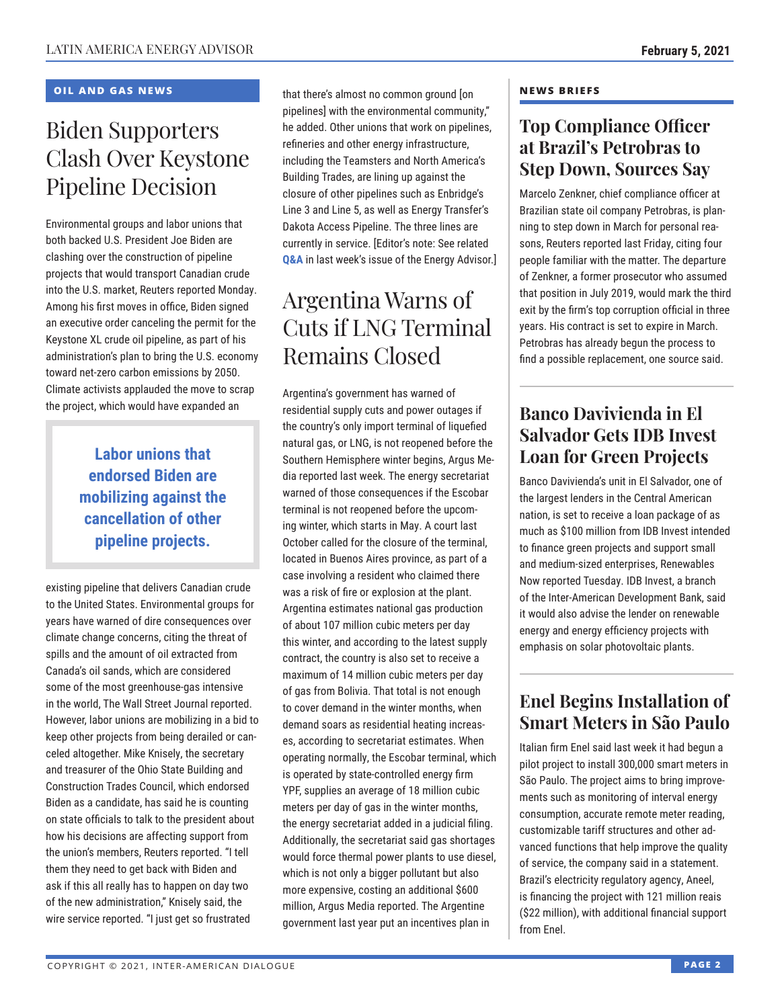#### **OIL AND GAS NEWS**

# Biden Supporters Clash Over Keystone Pipeline Decision

Environmental groups and labor unions that both backed U.S. President Joe Biden are clashing over the construction of pipeline projects that would transport Canadian crude into the U.S. market, Reuters reported Monday. Among his first moves in office, Biden signed an executive order canceling the permit for the Keystone XL crude oil pipeline, as part of his administration's plan to bring the U.S. economy toward net-zero carbon emissions by 2050. Climate activists applauded the move to scrap the project, which would have expanded an

### **Labor unions that endorsed Biden are mobilizing against the cancellation of other pipeline projects.**

existing pipeline that delivers Canadian crude to the United States. Environmental groups for years have warned of dire consequences over climate change concerns, citing the threat of spills and the amount of oil extracted from Canada's oil sands, which are considered some of the most greenhouse-gas intensive in the world, The Wall Street Journal reported. However, labor unions are mobilizing in a bid to keep other projects from being derailed or canceled altogether. Mike Knisely, the secretary and treasurer of the Ohio State Building and Construction Trades Council, which endorsed Biden as a candidate, has said he is counting on state officials to talk to the president about how his decisions are affecting support from the union's members, Reuters reported. "I tell them they need to get back with Biden and ask if this all really has to happen on day two of the new administration," Knisely said, the wire service reported. "I just get so frustrated

that there's almost no common ground [on pipelines] with the environmental community," he added. Other unions that work on pipelines, refineries and other energy infrastructure, including the Teamsters and North America's Building Trades, are lining up against the closure of other pipelines such as Enbridge's Line 3 and Line 5, as well as Energy Transfer's Dakota Access Pipeline. The three lines are currently in service. [Editor's note: See related **[Q&A](http://www.thedialogue.org/wp-content/uploads/2021/01/LEA210129.pdf)** in last week's issue of the Energy Advisor.]

# Argentina Warns of Cuts if LNG Terminal Remains Closed

Argentina's government has warned of residential supply cuts and power outages if the country's only import terminal of liquefied natural gas, or LNG, is not reopened before the Southern Hemisphere winter begins, Argus Media reported last week. The energy secretariat warned of those consequences if the Escobar terminal is not reopened before the upcoming winter, which starts in May. A court last October called for the closure of the terminal, located in Buenos Aires province, as part of a case involving a resident who claimed there was a risk of fire or explosion at the plant. Argentina estimates national gas production of about 107 million cubic meters per day this winter, and according to the latest supply contract, the country is also set to receive a maximum of 14 million cubic meters per day of gas from Bolivia. That total is not enough to cover demand in the winter months, when demand soars as residential heating increases, according to secretariat estimates. When operating normally, the Escobar terminal, which is operated by state-controlled energy firm YPF, supplies an average of 18 million cubic meters per day of gas in the winter months, the energy secretariat added in a judicial filing. Additionally, the secretariat said gas shortages would force thermal power plants to use diesel, which is not only a bigger pollutant but also more expensive, costing an additional \$600 million, Argus Media reported. The Argentine government last year put an incentives plan in

#### **NEWS BRIEFS**

### **Top Compliance Officer at Brazil's Petrobras to Step Down, Sources Say**

Marcelo Zenkner, chief compliance officer at Brazilian state oil company Petrobras, is planning to step down in March for personal reasons, Reuters reported last Friday, citing four people familiar with the matter. The departure of Zenkner, a former prosecutor who assumed that position in July 2019, would mark the third exit by the firm's top corruption official in three years. His contract is set to expire in March. Petrobras has already begun the process to find a possible replacement, one source said.

### **Banco Davivienda in El Salvador Gets IDB Invest Loan for Green Projects**

Banco Davivienda's unit in El Salvador, one of the largest lenders in the Central American nation, is set to receive a loan package of as much as \$100 million from IDB Invest intended to finance green projects and support small and medium-sized enterprises, Renewables Now reported Tuesday. IDB Invest, a branch of the Inter-American Development Bank, said it would also advise the lender on renewable energy and energy efficiency projects with emphasis on solar photovoltaic plants.

### **Enel Begins Installation of Smart Meters in São Paulo**

Italian firm Enel said last week it had begun a pilot project to install 300,000 smart meters in São Paulo. The project aims to bring improvements such as monitoring of interval energy consumption, accurate remote meter reading, customizable tariff structures and other advanced functions that help improve the quality of service, the company said in a statement. Brazil's electricity regulatory agency, Aneel, is financing the project with 121 million reais (\$22 million), with additional financial support from Enel.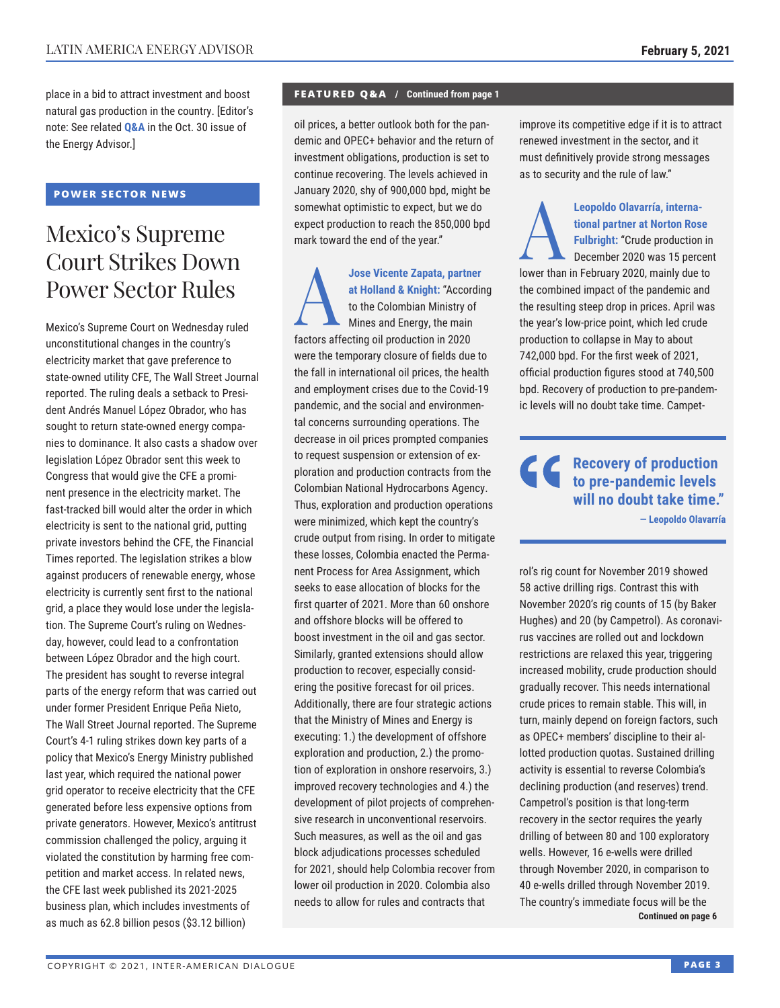place in a bid to attract investment and boost natural gas production in the country. [Editor's note: See related **[Q&A](http://www.thedialogue.org/wp-content/uploads/2020/10/LEA201030.pdf)** in the Oct. 30 issue of the Energy Advisor.]

#### **POWER SECTOR NEWS**

# Mexico's Supreme Court Strikes Down Power Sector Rules

Mexico's Supreme Court on Wednesday ruled unconstitutional changes in the country's electricity market that gave preference to state-owned utility CFE, The Wall Street Journal reported. The ruling deals a setback to President Andrés Manuel López Obrador, who has sought to return state-owned energy companies to dominance. It also casts a shadow over legislation López Obrador sent this week to Congress that would give the CFE a prominent presence in the electricity market. The fast-tracked bill would alter the order in which electricity is sent to the national grid, putting private investors behind the CFE, the Financial Times reported. The legislation strikes a blow against producers of renewable energy, whose electricity is currently sent first to the national grid, a place they would lose under the legislation. The Supreme Court's ruling on Wednesday, however, could lead to a confrontation between López Obrador and the high court. The president has sought to reverse integral parts of the energy reform that was carried out under former President Enrique Peña Nieto, The Wall Street Journal reported. The Supreme Court's 4-1 ruling strikes down key parts of a policy that Mexico's Energy Ministry published last year, which required the national power grid operator to receive electricity that the CFE generated before less expensive options from private generators. However, Mexico's antitrust commission challenged the policy, arguing it violated the constitution by harming free competition and market access. In related news, the CFE last week published its 2021-2025 business plan, which includes investments of as much as 62.8 billion pesos (\$3.12 billion)

#### **FEATURED Q&A / Continued from page 1**

oil prices, a better outlook both for the pandemic and OPEC+ behavior and the return of investment obligations, production is set to continue recovering. The levels achieved in January 2020, shy of 900,000 bpd, might be somewhat optimistic to expect, but we do expect production to reach the 850,000 bpd mark toward the end of the year."

A**Jose Vicente Zapata, partner at Holland & Knight:** "According to the Colombian Ministry of Mines and Energy, the main factors affecting oil production in 2020 were the temporary closure of fields due to the fall in international oil prices, the health and employment crises due to the Covid-19 pandemic, and the social and environmental concerns surrounding operations. The decrease in oil prices prompted companies to request suspension or extension of exploration and production contracts from the Colombian National Hydrocarbons Agency. Thus, exploration and production operations were minimized, which kept the country's crude output from rising. In order to mitigate these losses, Colombia enacted the Permanent Process for Area Assignment, which seeks to ease allocation of blocks for the first quarter of 2021. More than 60 onshore and offshore blocks will be offered to boost investment in the oil and gas sector. Similarly, granted extensions should allow production to recover, especially considering the positive forecast for oil prices. Additionally, there are four strategic actions that the Ministry of Mines and Energy is executing: 1.) the development of offshore exploration and production, 2.) the promotion of exploration in onshore reservoirs, 3.) improved recovery technologies and 4.) the development of pilot projects of comprehensive research in unconventional reservoirs. Such measures, as well as the oil and gas block adjudications processes scheduled for 2021, should help Colombia recover from lower oil production in 2020. Colombia also needs to allow for rules and contracts that

improve its competitive edge if it is to attract renewed investment in the sector, and it must definitively provide strong messages as to security and the rule of law."

Leopoldo Olavarría, interna-<br>
tional partner at Norton Ros<br>
Fulbright: "Crude production<br>
December 2020 was 15 percent<br>
the signal particular of the signal particular of the signal particular of the signal particular of th **tional partner at Norton Rose Fulbright:** "Crude production in December 2020 was 15 percent lower than in February 2020, mainly due to the combined impact of the pandemic and the resulting steep drop in prices. April was the year's low-price point, which led crude production to collapse in May to about 742,000 bpd. For the first week of 2021, official production figures stood at 740,500 bpd. Recovery of production to pre-pandemic levels will no doubt take time. Campet-

#### **Recovery of production**  66 **to pre-pandemic levels will no doubt take time." — Leopoldo Olavarría**

rol's rig count for November 2019 showed 58 active drilling rigs. Contrast this with November 2020's rig counts of 15 (by Baker Hughes) and 20 (by Campetrol). As coronavirus vaccines are rolled out and lockdown restrictions are relaxed this year, triggering increased mobility, crude production should gradually recover. This needs international crude prices to remain stable. This will, in turn, mainly depend on foreign factors, such as OPEC+ members' discipline to their allotted production quotas. Sustained drilling activity is essential to reverse Colombia's declining production (and reserves) trend. Campetrol's position is that long-term recovery in the sector requires the yearly drilling of between 80 and 100 exploratory wells. However, 16 e-wells were drilled through November 2020, in comparison to 40 e-wells drilled through November 2019. The country's immediate focus will be the **Continued on page 6**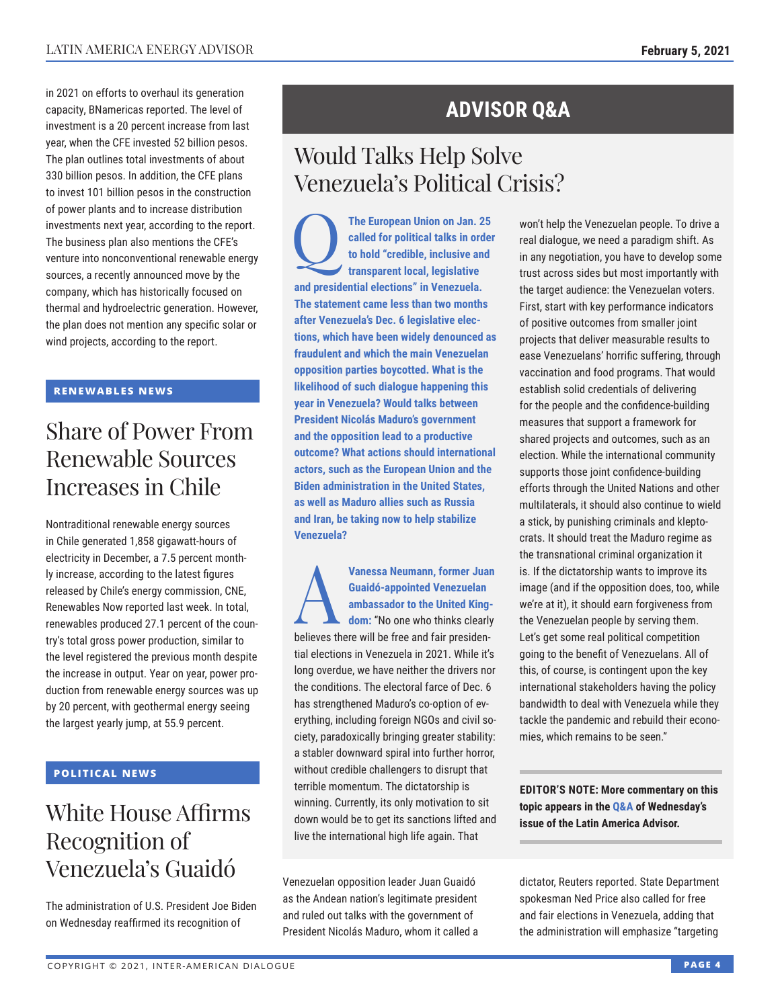in 2021 on efforts to overhaul its generation capacity, BNamericas reported. The level of investment is a 20 percent increase from last year, when the CFE invested 52 billion pesos. The plan outlines total investments of about 330 billion pesos. In addition, the CFE plans to invest 101 billion pesos in the construction of power plants and to increase distribution investments next year, according to the report. The business plan also mentions the CFE's venture into nonconventional renewable energy sources, a recently announced move by the company, which has historically focused on thermal and hydroelectric generation. However, the plan does not mention any specific solar or wind projects, according to the report.

#### **RENEWABLES NEWS**

## Share of Power From Renewable Sources Increases in Chile

Nontraditional renewable energy sources in Chile generated 1,858 gigawatt-hours of electricity in December, a 7.5 percent monthly increase, according to the latest figures released by Chile's energy commission, CNE, Renewables Now reported last week. In total, renewables produced 27.1 percent of the country's total gross power production, similar to the level registered the previous month despite the increase in output. Year on year, power production from renewable energy sources was up by 20 percent, with geothermal energy seeing the largest yearly jump, at 55.9 percent.

#### **POLITICAL NEWS**

# White House Affirms Recognition of Venezuela's Guaidó

The administration of U.S. President Joe Biden on Wednesday reaffirmed its recognition of

### **ADVISOR Q&A**

# Would Talks Help Solve Venezuela's Political Crisis?

The European Union on Jan. 25<br>
called for political talks in order<br>
to hold "credible, inclusive and<br>
transparent local. legislative **called for political talks in order to hold "credible, inclusive and transparent local, legislative and presidential elections" in Venezuela. The statement came less than two months after Venezuela's Dec. 6 legislative elections, which have been widely denounced as fraudulent and which the main Venezuelan opposition parties boycotted. What is the likelihood of such dialogue happening this year in Venezuela? Would talks between President Nicolás Maduro's government and the opposition lead to a productive outcome? What actions should international actors, such as the European Union and the Biden administration in the United States, as well as Maduro allies such as Russia and Iran, be taking now to help stabilize Venezuela?**

**Vanessa Neumann, former Juan<br>
<b>Guaidó-appointed Venezuelan**<br> **ambassador to the United King-<br>
dom:** "No one who thinks clearly **Guaidó-appointed Venezuelan ambassador to the United King**believes there will be free and fair presidential elections in Venezuela in 2021. While it's long overdue, we have neither the drivers nor the conditions. The electoral farce of Dec. 6 has strengthened Maduro's co-option of everything, including foreign NGOs and civil society, paradoxically bringing greater stability: a stabler downward spiral into further horror, without credible challengers to disrupt that terrible momentum. The dictatorship is winning. Currently, its only motivation to sit down would be to get its sanctions lifted and live the international high life again. That

Venezuelan opposition leader Juan Guaidó as the Andean nation's legitimate president and ruled out talks with the government of President Nicolás Maduro, whom it called a won't help the Venezuelan people. To drive a real dialogue, we need a paradigm shift. As in any negotiation, you have to develop some trust across sides but most importantly with the target audience: the Venezuelan voters. First, start with key performance indicators of positive outcomes from smaller joint projects that deliver measurable results to ease Venezuelans' horrific suffering, through vaccination and food programs. That would establish solid credentials of delivering for the people and the confidence-building measures that support a framework for shared projects and outcomes, such as an election. While the international community supports those joint confidence-building efforts through the United Nations and other multilaterals, it should also continue to wield a stick, by punishing criminals and kleptocrats. It should treat the Maduro regime as the transnational criminal organization it is. If the dictatorship wants to improve its image (and if the opposition does, too, while we're at it), it should earn forgiveness from the Venezuelan people by serving them. Let's get some real political competition going to the benefit of Venezuelans. All of this, of course, is contingent upon the key international stakeholders having the policy bandwidth to deal with Venezuela while they tackle the pandemic and rebuild their economies, which remains to be seen."

**EDITOR'S NOTE: More commentary on this topic appears in [the Q&A o](http://www.thedialogue.org/wp-content/uploads/2021/02/LAA210203.pdf)f Wednesday's issue of the Latin America Advisor.**

dictator, Reuters reported. State Department spokesman Ned Price also called for free and fair elections in Venezuela, adding that the administration will emphasize "targeting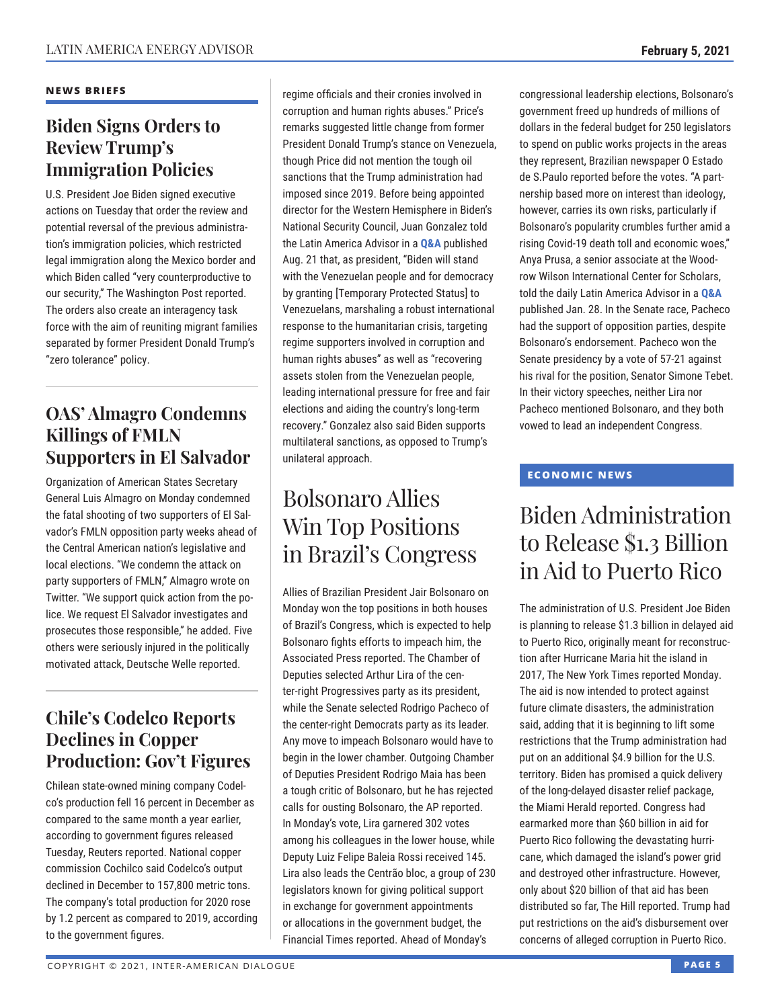#### **NEWS BRIEFS**

### **Biden Signs Orders to Review Trump's Immigration Policies**

U.S. President Joe Biden signed executive actions on Tuesday that order the review and potential reversal of the previous administration's immigration policies, which restricted legal immigration along the Mexico border and which Biden called "very counterproductive to our security," The Washington Post reported. The orders also create an interagency task force with the aim of reuniting migrant families separated by former President Donald Trump's "zero tolerance" policy.

### **OAS' Almagro Condemns Killings of FMLN Supporters in El Salvador**

Organization of American States Secretary General Luis Almagro on Monday condemned the fatal shooting of two supporters of El Salvador's FMLN opposition party weeks ahead of the Central American nation's legislative and local elections. "We condemn the attack on party supporters of FMLN," Almagro wrote on Twitter. "We support quick action from the police. We request El Salvador investigates and prosecutes those responsible," he added. Five others were seriously injured in the politically motivated attack, Deutsche Welle reported.

### **Chile's Codelco Reports Declines in Copper Production: Gov't Figures**

Chilean state-owned mining company Codelco's production fell 16 percent in December as compared to the same month a year earlier, according to government figures released Tuesday, Reuters reported. National copper commission Cochilco said Codelco's output declined in December to 157,800 metric tons. The company's total production for 2020 rose by 1.2 percent as compared to 2019, according to the government figures.

regime officials and their cronies involved in corruption and human rights abuses." Price's remarks suggested little change from former President Donald Trump's stance on Venezuela, though Price did not mention the tough oil sanctions that the Trump administration had imposed since 2019. Before being appointed director for the Western Hemisphere in Biden's National Security Council, Juan Gonzalez told the Latin America Advisor in a **Q&A** published Aug. 21 that, as president, "B[iden wil](http://www.thedialogue.org/wp-content/uploads/2020/08/LAA200821.pdf)l stand with the Venezuelan people and for democracy by granting [Temporary Protected Status] to Venezuelans, marshaling a robust international response to the humanitarian crisis, targeting regime supporters involved in corruption and human rights abuses" as well as "recovering assets stolen from the Venezuelan people, leading international pressure for free and fair elections and aiding the country's long-term recovery." Gonzalez also said Biden supports multilateral sanctions, as opposed to Trump's unilateral approach.

# Bolsonaro Allies Win Top Positions in Brazil's Congress

Allies of Brazilian President Jair Bolsonaro on Monday won the top positions in both houses of Brazil's Congress, which is expected to help Bolsonaro fights efforts to impeach him, the Associated Press reported. The Chamber of Deputies selected Arthur Lira of the center-right Progressives party as its president, while the Senate selected Rodrigo Pacheco of the center-right Democrats party as its leader. Any move to impeach Bolsonaro would have to begin in the lower chamber. Outgoing Chamber of Deputies President Rodrigo Maia has been a tough critic of Bolsonaro, but he has rejected calls for ousting Bolsonaro, the AP reported. In Monday's vote, Lira garnered 302 votes among his colleagues in the lower house, while Deputy Luiz Felipe Baleia Rossi received 145. Lira also leads the Centrão bloc, a group of 230 legislators known for giving political support in exchange for government appointments or allocations in the government budget, the Financial Times reported. Ahead of Monday's

congressional leadership elections, Bolsonaro's government freed up hundreds of millions of dollars in the federal budget for 250 legislators to spend on public works projects in the areas they represent, Brazilian newspaper O Estado de S.Paulo reported before the votes. "A partnership based more on interest than ideology, however, carries its own risks, particularly if Bolsonaro's popularity crumbles further amid a rising Covid-19 death toll and economic woes," Anya Prusa, a senior associate at the Woodrow Wilson International Center for Scholars, told the daily Latin America Advisor in a **[Q&A](http://www.thedialogue.org/wp-content/uploads/2021/01/LAA210128.pdf)** published Jan. 28. In the Senate race, Pacheco had the support of opposition parties, despite Bolsonaro's endorsement. Pacheco won the Senate presidency by a vote of 57-21 against his rival for the position, Senator Simone Tebet. In their victory speeches, neither Lira nor Pacheco mentioned Bolsonaro, and they both vowed to lead an independent Congress.

#### **ECONOMIC NEWS**

# Biden Administration to Release \$1.3 Billion in Aid to Puerto Rico

The administration of U.S. President Joe Biden is planning to release \$1.3 billion in delayed aid to Puerto Rico, originally meant for reconstruction after Hurricane Maria hit the island in 2017, The New York Times reported Monday. The aid is now intended to protect against future climate disasters, the administration said, adding that it is beginning to lift some restrictions that the Trump administration had put on an additional \$4.9 billion for the U.S. territory. Biden has promised a quick delivery of the long-delayed disaster relief package, the Miami Herald reported. Congress had earmarked more than \$60 billion in aid for Puerto Rico following the devastating hurricane, which damaged the island's power grid and destroyed other infrastructure. However, only about \$20 billion of that aid has been distributed so far, The Hill reported. Trump had put restrictions on the aid's disbursement over concerns of alleged corruption in Puerto Rico.